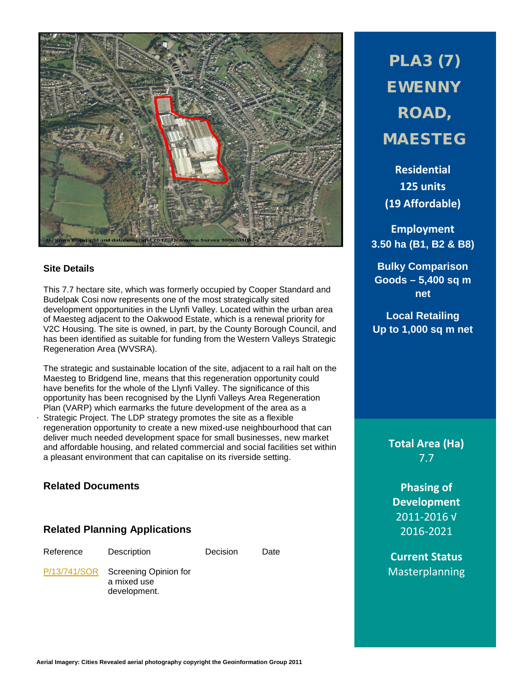

### **Site Details**

This 7.7 hectare site, which was formerly occupied by Cooper Standard and Budelpak Cosi now represents one of the most strategically sited development opportunities in the Llynfi Valley. Located within the urban area of Maesteg adjacent to the Oakwood Estate, which is a renewal priority for V2C Housing. The site is owned, in part, by the County Borough Council, and has been identified as suitable for funding from the Western Valleys Strategic Regeneration Area (WVSRA).

. The strategic and sustainable location of the site, adjacent to a rail halt on the Maesteg to Bridgend line, means that this regeneration opportunity could have benefits for the whole of the Llynfi Valley. The significance of this opportunity has been recognised by the Llynfi Valleys Area Regeneration Plan (VARP) which earmarks the future development of the area as a Strategic Project. The LDP strategy promotes the site as a flexible regeneration opportunity to create a new mixed-use neighbourhood that can deliver much needed development space for small businesses, new market and affordable housing, and related commercial and social facilities set within a pleasant environment that can capitalise on its riverside setting.

### **Related Documents**

### **Related Planning Applications**

Reference Description Decision Date

[P/13/741/SOR](http://planpor.bridgend.gov.uk/OcellaWeb/planningDetails?reference=P/13/741/SOR&from=planningSearch) Screening Opinion for a mixed use development.

PLA3 (7) EWENNY ROAD, MAESTEG

**Residential 125 units (19 Affordable)**

**Employment 3.50 ha (B1, B2 & B8)**

**Bulky Comparison Goods – 5,400 sq m net**

**Local Retailing Up to 1,000 sq m net**

> **Total Area (Ha)** 7.7

**Phasing of Development** 2011-2016 √ 2016-2021

**Current Status** Masterplanning